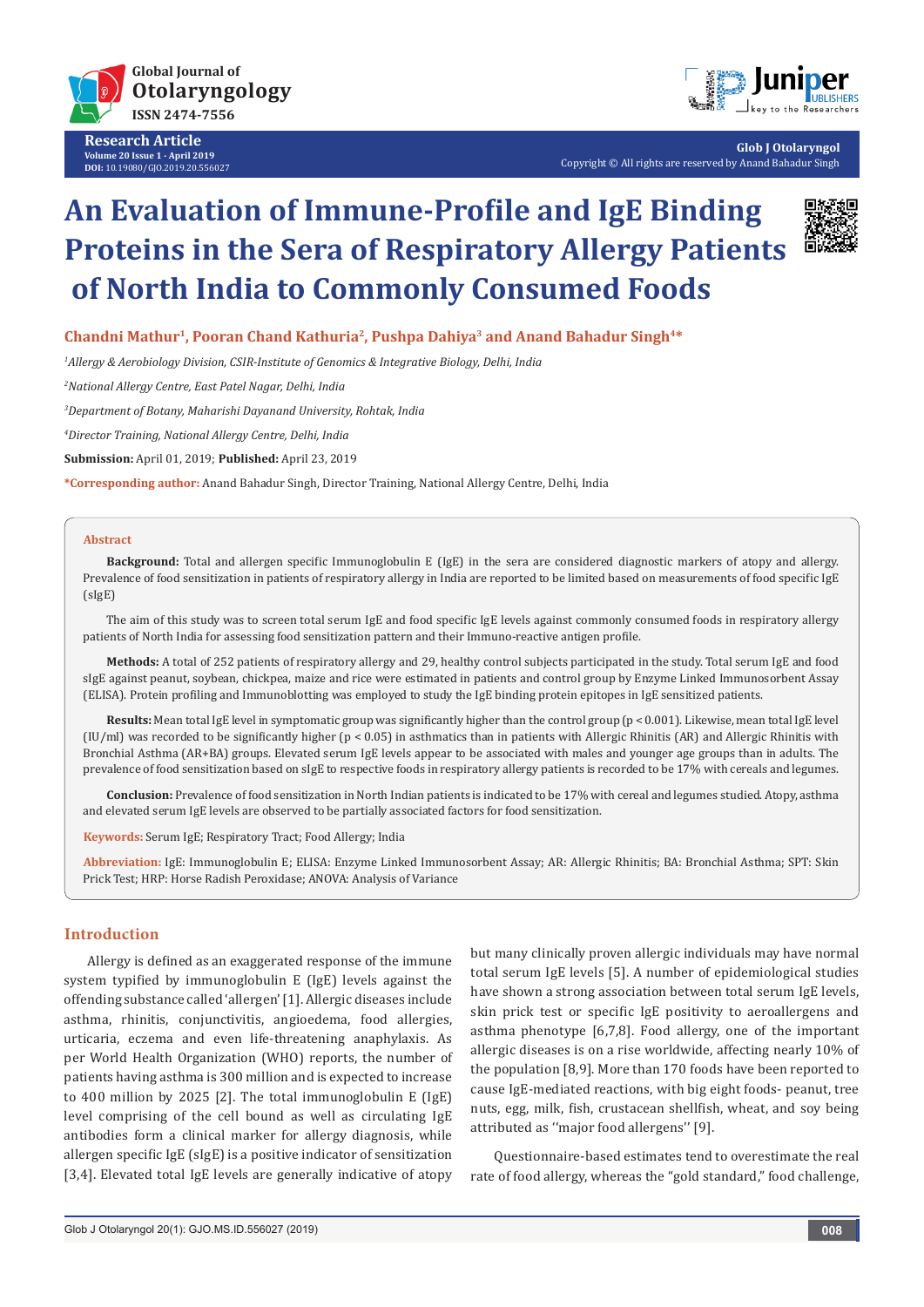

**Research Article Volume 20 Issue 1 - April 2019 DOI:** [10.19080/GJO.2019.20.556027](http://dx.doi.org/10.19080/GJO.2019.20.556027)



**Glob J Otolaryngol** Copyright © All rights are reserved by Anand Bahadur Singh

# **An Evaluation of Immune-Profile and IgE Binding Proteins in the Sera of Respiratory Allergy Patients of North India to Commonly Consumed Foods**



Chandni Mathur<sup>1</sup>, Pooran Chand Kathuria<sup>2</sup>, Pushpa Dahiya<sup>3</sup> and Anand Bahadur Singh<sup>4\*</sup>

*1 Allergy & Aerobiology Division, CSIR-Institute of Genomics & Integrative Biology, Delhi, India*

*2 National Allergy Centre, East Patel Nagar, Delhi, India*

*3 Department of Botany, Maharishi Dayanand University, Rohtak, India*

*4 Director Training, National Allergy Centre, Delhi, India*

**Submission:** April 01, 2019; **Published:** April 23, 2019

**\*Corresponding author:** Anand Bahadur Singh, Director Training, National Allergy Centre, Delhi, India

#### **Abstract**

**Background:** Total and allergen specific Immunoglobulin E (IgE) in the sera are considered diagnostic markers of atopy and allergy. Prevalence of food sensitization in patients of respiratory allergy in India are reported to be limited based on measurements of food specific IgE (sIgE)

The aim of this study was to screen total serum IgE and food specific IgE levels against commonly consumed foods in respiratory allergy patients of North India for assessing food sensitization pattern and their Immuno-reactive antigen profile.

**Methods:** A total of 252 patients of respiratory allergy and 29, healthy control subjects participated in the study. Total serum IgE and food sIgE against peanut, soybean, chickpea, maize and rice were estimated in patients and control group by Enzyme Linked Immunosorbent Assay (ELISA). Protein profiling and Immunoblotting was employed to study the IgE binding protein epitopes in IgE sensitized patients.

**Results:** Mean total IgE level in symptomatic group was significantly higher than the control group (p < 0.001). Likewise, mean total IgE level (IU/ml) was recorded to be significantly higher (p < 0.05) in asthmatics than in patients with Allergic Rhinitis (AR) and Allergic Rhinitis with Bronchial Asthma (AR+BA) groups. Elevated serum IgE levels appear to be associated with males and younger age groups than in adults. The prevalence of food sensitization based on sIgE to respective foods in respiratory allergy patients is recorded to be 17% with cereals and legumes.

**Conclusion:** Prevalence of food sensitization in North Indian patients is indicated to be 17% with cereal and legumes studied. Atopy, asthma and elevated serum IgE levels are observed to be partially associated factors for food sensitization.

**Keywords:** Serum IgE; Respiratory Tract; Food Allergy; India

**Abbreviation:** IgE: Immunoglobulin E; ELISA: Enzyme Linked Immunosorbent Assay; AR: Allergic Rhinitis; BA: Bronchial Asthma; SPT: Skin Prick Test; HRP: Horse Radish Peroxidase; ANOVA: Analysis of Variance

# **Introduction**

Allergy is defined as an exaggerated response of the immune system typified by immunoglobulin E (IgE) levels against the offending substance called 'allergen' [1]. Allergic diseases include asthma, rhinitis, conjunctivitis, angioedema, food allergies, urticaria, eczema and even life-threatening anaphylaxis. As per World Health Organization (WHO) reports, the number of patients having asthma is 300 million and is expected to increase to 400 million by 2025 [2]. The total immunoglobulin E (IgE) level comprising of the cell bound as well as circulating IgE antibodies form a clinical marker for allergy diagnosis, while allergen specific IgE (sIgE) is a positive indicator of sensitization [3,4]. Elevated total IgE levels are generally indicative of atopy but many clinically proven allergic individuals may have normal total serum IgE levels [5]. A number of epidemiological studies have shown a strong association between total serum IgE levels, skin prick test or specific IgE positivity to aeroallergens and asthma phenotype [6,7,8]. Food allergy, one of the important allergic diseases is on a rise worldwide, affecting nearly 10% of the population [8,9]. More than 170 foods have been reported to cause IgE-mediated reactions, with big eight foods- peanut, tree nuts, egg, milk, fish, crustacean shellfish, wheat, and soy being attributed as ''major food allergens'' [9].

Questionnaire-based estimates tend to overestimate the real rate of food allergy, whereas the "gold standard," food challenge,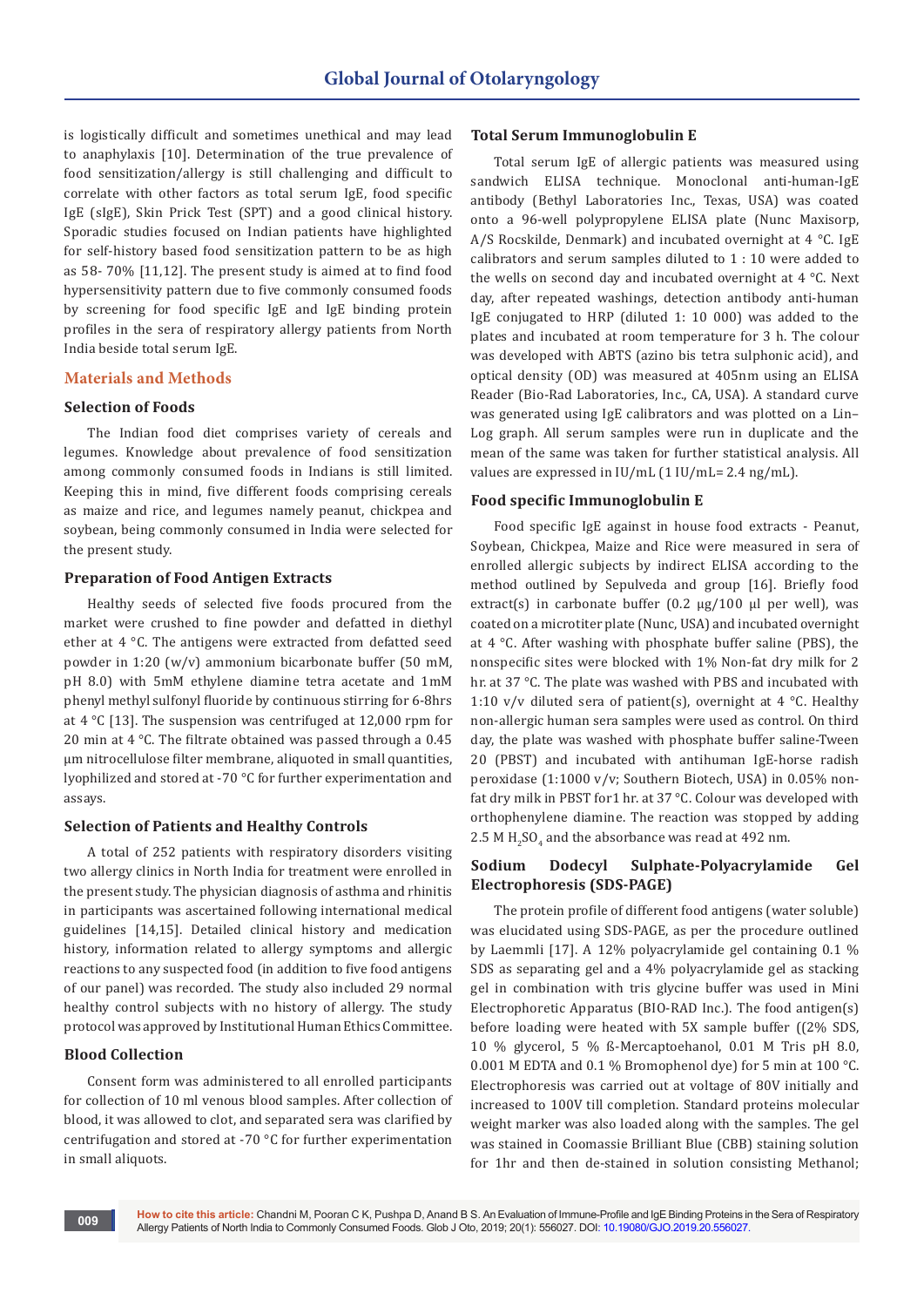is logistically difficult and sometimes unethical and may lead to anaphylaxis [10]. Determination of the true prevalence of food sensitization/allergy is still challenging and difficult to correlate with other factors as total serum IgE, food specific IgE (sIgE), Skin Prick Test (SPT) and a good clinical history. Sporadic studies focused on Indian patients have highlighted for self-history based food sensitization pattern to be as high as 58- 70% [11,12]. The present study is aimed at to find food hypersensitivity pattern due to five commonly consumed foods by screening for food specific IgE and IgE binding protein profiles in the sera of respiratory allergy patients from North India beside total serum IgE.

## **Materials and Methods**

## **Selection of Foods**

The Indian food diet comprises variety of cereals and legumes. Knowledge about prevalence of food sensitization among commonly consumed foods in Indians is still limited. Keeping this in mind, five different foods comprising cereals as maize and rice, and legumes namely peanut, chickpea and soybean, being commonly consumed in India were selected for the present study.

# **Preparation of Food Antigen Extracts**

Healthy seeds of selected five foods procured from the market were crushed to fine powder and defatted in diethyl ether at 4 °C. The antigens were extracted from defatted seed powder in 1:20 (w/v) ammonium bicarbonate buffer (50 mM, pH 8.0) with 5mM ethylene diamine tetra acetate and 1mM phenyl methyl sulfonyl fluoride by continuous stirring for 6-8hrs at 4 °C [13]. The suspension was centrifuged at 12,000 rpm for 20 min at 4 °C. The filtrate obtained was passed through a 0.45 µm nitrocellulose filter membrane, aliquoted in small quantities, lyophilized and stored at -70 °C for further experimentation and assays.

#### **Selection of Patients and Healthy Controls**

A total of 252 patients with respiratory disorders visiting two allergy clinics in North India for treatment were enrolled in the present study. The physician diagnosis of asthma and rhinitis in participants was ascertained following international medical guidelines [14,15]. Detailed clinical history and medication history, information related to allergy symptoms and allergic reactions to any suspected food (in addition to five food antigens of our panel) was recorded. The study also included 29 normal healthy control subjects with no history of allergy. The study protocol was approved by Institutional Human Ethics Committee.

## **Blood Collection**

Consent form was administered to all enrolled participants for collection of 10 ml venous blood samples. After collection of blood, it was allowed to clot, and separated sera was clarified by centrifugation and stored at -70 °C for further experimentation in small aliquots.

#### **Total Serum Immunoglobulin E**

Total serum IgE of allergic patients was measured using sandwich ELISA technique. Monoclonal anti-human-IgE antibody (Bethyl Laboratories Inc., Texas, USA) was coated onto a 96-well polypropylene ELISA plate (Nunc Maxisorp, A/S Rocskilde, Denmark) and incubated overnight at 4 °C. IgE calibrators and serum samples diluted to 1 : 10 were added to the wells on second day and incubated overnight at 4 °C. Next day, after repeated washings, detection antibody anti-human IgE conjugated to HRP (diluted 1: 10 000) was added to the plates and incubated at room temperature for 3 h. The colour was developed with ABTS (azino bis tetra sulphonic acid), and optical density (OD) was measured at 405nm using an ELISA Reader (Bio-Rad Laboratories, Inc., CA, USA). A standard curve was generated using IgE calibrators and was plotted on a Lin– Log graph. All serum samples were run in duplicate and the mean of the same was taken for further statistical analysis. All values are expressed in IU/mL (1 IU/mL= 2.4 ng/mL).

# **Food specific Immunoglobulin E**

Food specific IgE against in house food extracts - Peanut, Soybean, Chickpea, Maize and Rice were measured in sera of enrolled allergic subjects by indirect ELISA according to the method outlined by Sepulveda and group [16]. Briefly food extract(s) in carbonate buffer  $(0.2 \mu g/100 \mu l)$  per well), was coated on a microtiter plate (Nunc, USA) and incubated overnight at 4 °C. After washing with phosphate buffer saline (PBS), the nonspecific sites were blocked with 1% Non-fat dry milk for 2 hr. at 37 °C. The plate was washed with PBS and incubated with 1:10 v/v diluted sera of patient(s), overnight at 4  $\degree$ C. Healthy non-allergic human sera samples were used as control. On third day, the plate was washed with phosphate buffer saline-Tween 20 (PBST) and incubated with antihuman IgE-horse radish peroxidase (1:1000 v/v; Southern Biotech, USA) in 0.05% nonfat dry milk in PBST for1 hr. at 37 °C. Colour was developed with orthophenylene diamine. The reaction was stopped by adding  $2.5$  M H<sub>2</sub>SO<sub>4</sub> and the absorbance was read at 492 nm.

# **Sodium Dodecyl Sulphate-Polyacrylamide Gel Electrophoresis (SDS-PAGE)**

The protein profile of different food antigens (water soluble) was elucidated using SDS-PAGE, as per the procedure outlined by Laemmli [17]. A 12% polyacrylamide gel containing 0.1 % SDS as separating gel and a 4% polyacrylamide gel as stacking gel in combination with tris glycine buffer was used in Mini Electrophoretic Apparatus (BIO-RAD Inc.). The food antigen(s) before loading were heated with 5X sample buffer ((2% SDS, 10 % glycerol, 5 % ß-Mercaptoehanol, 0.01 M Tris pH 8.0, 0.001 M EDTA and 0.1 % Bromophenol dye) for 5 min at 100 °C. Electrophoresis was carried out at voltage of 80V initially and increased to 100V till completion. Standard proteins molecular weight marker was also loaded along with the samples. The gel was stained in Coomassie Brilliant Blue (CBB) staining solution for 1hr and then de-stained in solution consisting Methanol;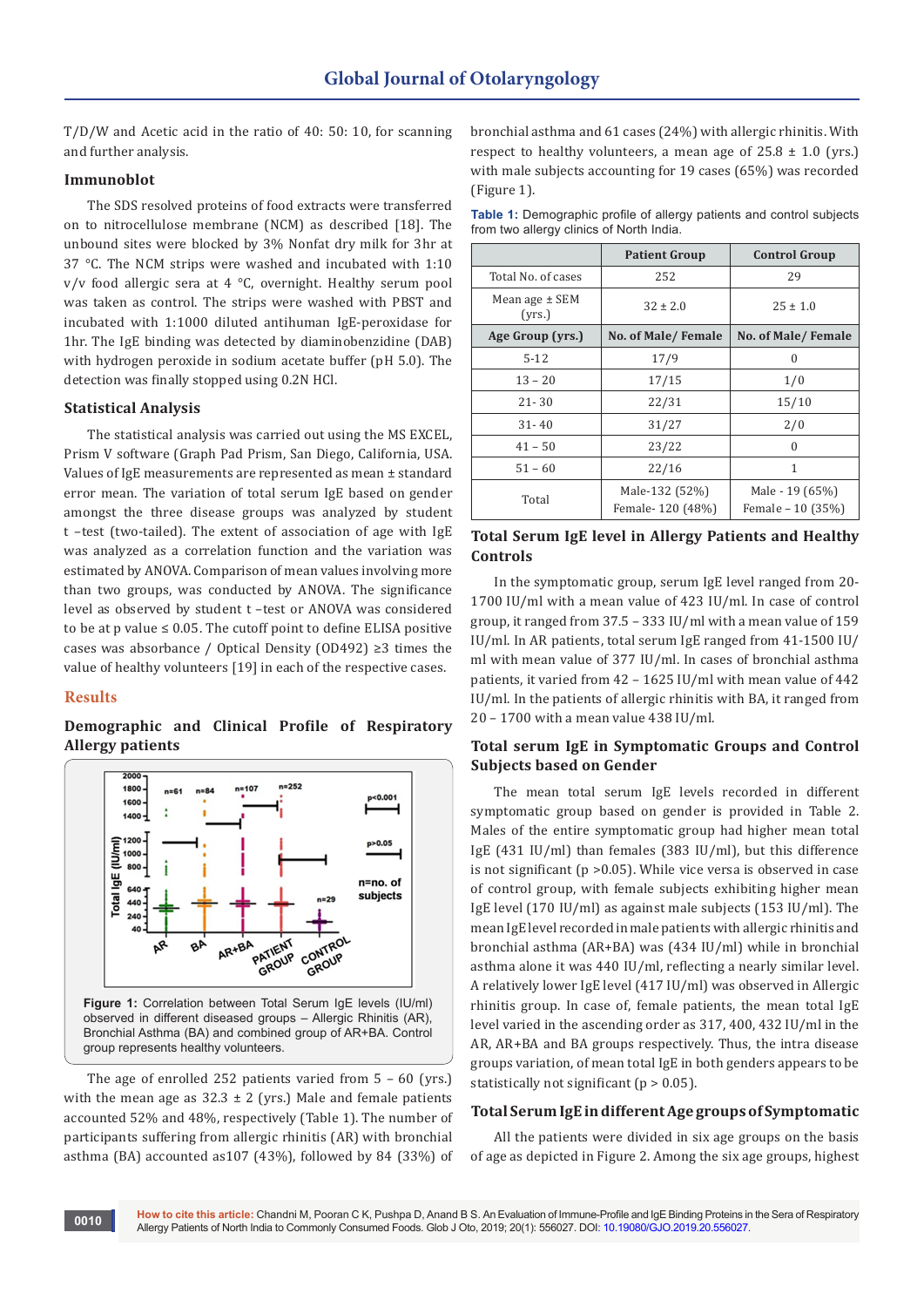T/D/W and Acetic acid in the ratio of 40: 50: 10, for scanning and further analysis.

# **Immunoblot**

The SDS resolved proteins of food extracts were transferred on to nitrocellulose membrane (NCM) as described [18]. The unbound sites were blocked by 3% Nonfat dry milk for 3hr at 37 °C. The NCM strips were washed and incubated with 1:10 v/v food allergic sera at 4 °C, overnight. Healthy serum pool was taken as control. The strips were washed with PBST and incubated with 1:1000 diluted antihuman IgE-peroxidase for 1hr. The IgE binding was detected by diaminobenzidine (DAB) with hydrogen peroxide in sodium acetate buffer (pH 5.0). The detection was finally stopped using 0.2N HCl.

# **Statistical Analysis**

The statistical analysis was carried out using the MS EXCEL, Prism V software (Graph Pad Prism, San Diego, California, USA. Values of IgE measurements are represented as mean ± standard error mean. The variation of total serum IgE based on gender amongst the three disease groups was analyzed by student t –test (two-tailed). The extent of association of age with IgE was analyzed as a correlation function and the variation was estimated by ANOVA. Comparison of mean values involving more than two groups, was conducted by ANOVA. The significance level as observed by student t –test or ANOVA was considered to be at p value  $\leq 0.05$ . The cutoff point to define ELISA positive cases was absorbance / Optical Density (OD492) ≥3 times the value of healthy volunteers [19] in each of the respective cases.

#### **Results**

**0010**

**Demographic and Clinical Profile of Respiratory Allergy patients**



The age of enrolled 252 patients varied from 5 – 60 (yrs.) with the mean age as  $32.3 \pm 2$  (yrs.) Male and female patients accounted 52% and 48%, respectively (Table 1). The number of participants suffering from allergic rhinitis (AR) with bronchial asthma (BA) accounted as107 (43%), followed by 84 (33%) of bronchial asthma and 61 cases (24%) with allergic rhinitis. With respect to healthy volunteers, a mean age of  $25.8 \pm 1.0$  (yrs.) with male subjects accounting for 19 cases (65%) was recorded (Figure 1).

**Table 1:** Demographic profile of allergy patients and control subjects from two allergy clinics of North India.

|                              | <b>Patient Group</b> | <b>Control Group</b> |  |  |
|------------------------------|----------------------|----------------------|--|--|
| Total No. of cases           | 252                  | 29                   |  |  |
| Mean age $\pm$ SEM<br>(yrs.) | $32 \pm 2.0$         | $25 \pm 1.0$         |  |  |
| Age Group (yrs.)             | No. of Male/Female   | No. of Male/Female   |  |  |
| $5-12$                       | 17/9                 | 0                    |  |  |
| $13 - 20$                    | 17/15                | 1/0                  |  |  |
| $21 - 30$                    | 22/31                | 15/10                |  |  |
| $31 - 40$                    | 31/27                | 2/0                  |  |  |
| $41 - 50$                    | 23/22                | 0                    |  |  |
| $51 - 60$                    | 22/16                | 1                    |  |  |
| Total                        | Male-132 (52%)       | Male - 19 (65%)      |  |  |
|                              | Female-120 (48%)     | Female - 10 (35%)    |  |  |

# **Total Serum IgE level in Allergy Patients and Healthy Controls**

In the symptomatic group, serum IgE level ranged from 20- 1700 IU/ml with a mean value of 423 IU/ml. In case of control group, it ranged from 37.5 – 333 IU/ml with a mean value of 159 IU/ml. In AR patients, total serum IgE ranged from 41-1500 IU/ ml with mean value of 377 IU/ml. In cases of bronchial asthma patients, it varied from 42 – 1625 IU/ml with mean value of 442 IU/ml. In the patients of allergic rhinitis with BA, it ranged from 20 – 1700 with a mean value 438 IU/ml.

# **Total serum IgE in Symptomatic Groups and Control Subjects based on Gender**

The mean total serum IgE levels recorded in different symptomatic group based on gender is provided in Table 2. Males of the entire symptomatic group had higher mean total IgE (431 IU/ml) than females (383 IU/ml), but this difference is not significant ( $p > 0.05$ ). While vice versa is observed in case of control group, with female subjects exhibiting higher mean IgE level (170 IU/ml) as against male subjects (153 IU/ml). The mean IgE level recorded in male patients with allergic rhinitis and bronchial asthma (AR+BA) was (434 IU/ml) while in bronchial asthma alone it was 440 IU/ml, reflecting a nearly similar level. A relatively lower IgE level (417 IU/ml) was observed in Allergic rhinitis group. In case of, female patients, the mean total IgE level varied in the ascending order as 317, 400, 432 IU/ml in the AR, AR+BA and BA groups respectively. Thus, the intra disease groups variation, of mean total IgE in both genders appears to be statistically not significant ( $p > 0.05$ ).

# **Total Serum IgE in different Age groups of Symptomatic**

All the patients were divided in six age groups on the basis of age as depicted in Figure 2. Among the six age groups, highest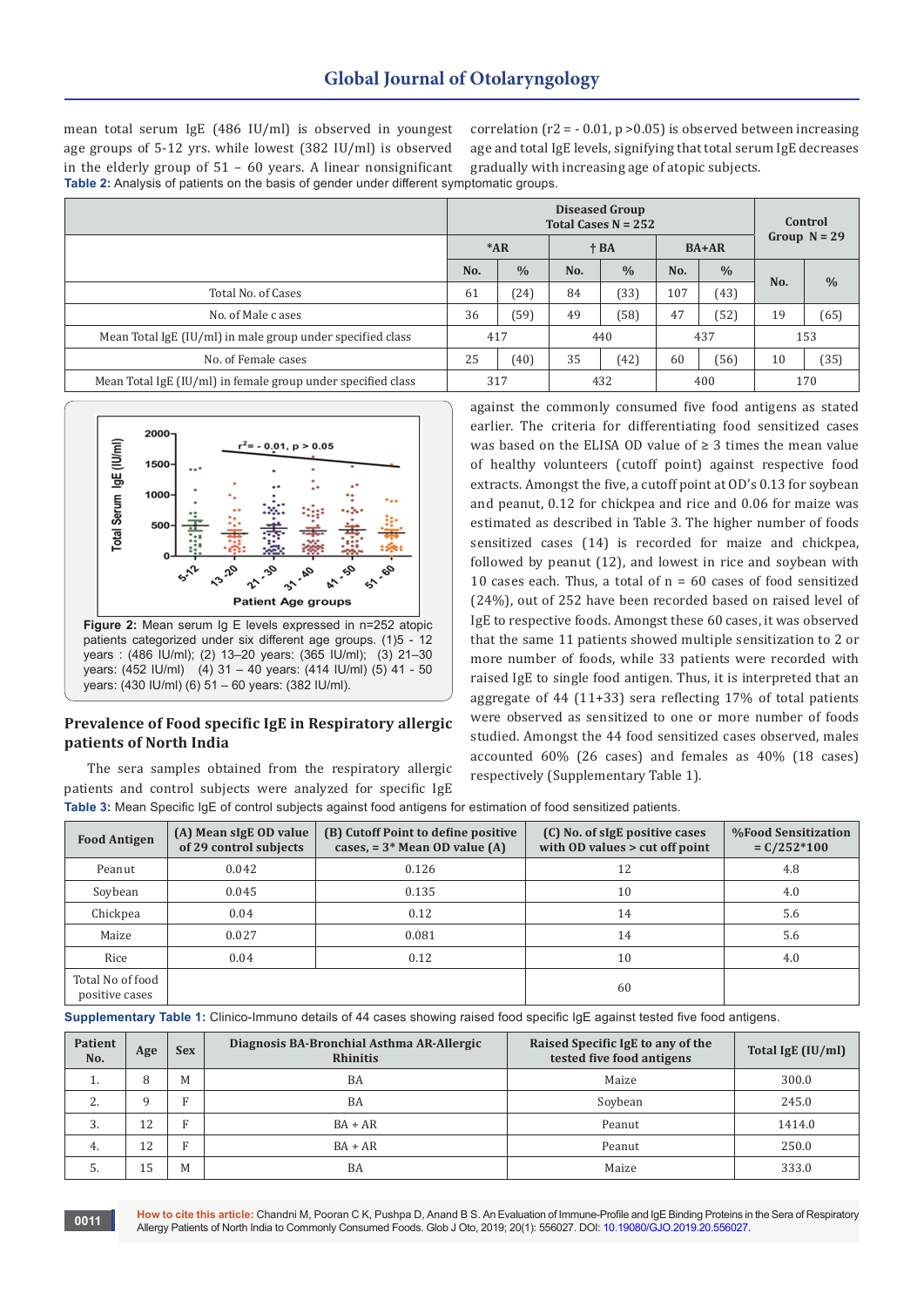mean total serum IgE (486 IU/ml) is observed in youngest age groups of 5-12 yrs. while lowest (382 IU/ml) is observed in the elderly group of 51 – 60 years. A linear nonsignificant **Table 2:** Analysis of patients on the basis of gender under different symptomatic groups.

correlation ( $r2 = -0.01$ ,  $p > 0.05$ ) is observed between increasing age and total IgE levels, signifying that total serum IgE decreases gradually with increasing age of atopic subjects.

|                                                              | <b>Diseased Group</b><br>Total Cases $N = 252$ |               |       |               |         |               | Control<br>Group $N = 29$ |               |
|--------------------------------------------------------------|------------------------------------------------|---------------|-------|---------------|---------|---------------|---------------------------|---------------|
|                                                              | $*AR$                                          |               | $+BA$ |               | $BA+AR$ |               |                           |               |
|                                                              | No.                                            | $\frac{0}{0}$ | No.   | $\frac{0}{0}$ | No.     | $\frac{0}{0}$ |                           |               |
| Total No. of Cases                                           | 61                                             | (24)          | 84    | (33)          | 107     | (43)          | No.                       | $\frac{0}{0}$ |
| No. of Male c ases                                           | 36                                             | (59)          | 49    | (58)          | 47      | (52)          | 19                        | (65)          |
| Mean Total IgE (IU/ml) in male group under specified class   | 417                                            |               | 440   |               | 437     |               | 153                       |               |
| No. of Female cases                                          | 25                                             | (40)          | 35    | (42)          | 60      | (56)          | 10                        | (35)          |
| Mean Total IgE (IU/ml) in female group under specified class | 317                                            |               | 432   |               | 400     |               | 170                       |               |



# **Prevalence of Food specific IgE in Respiratory allergic patients of North India**

The sera samples obtained from the respiratory allergic patients and control subjects were analyzed for specific IgE

against the commonly consumed five food antigens as stated earlier. The criteria for differentiating food sensitized cases was based on the ELISA OD value of ≥ 3 times the mean value of healthy volunteers (cutoff point) against respective food extracts. Amongst the five, a cutoff point at OD's 0.13 for soybean and peanut, 0.12 for chickpea and rice and 0.06 for maize was estimated as described in Table 3. The higher number of foods sensitized cases (14) is recorded for maize and chickpea, followed by peanut (12), and lowest in rice and soybean with 10 cases each. Thus, a total of  $n = 60$  cases of food sensitized (24%), out of 252 have been recorded based on raised level of IgE to respective foods. Amongst these 60 cases, it was observed that the same 11 patients showed multiple sensitization to 2 or more number of foods, while 33 patients were recorded with raised IgE to single food antigen. Thus, it is interpreted that an aggregate of 44 (11+33) sera reflecting 17% of total patients were observed as sensitized to one or more number of foods studied. Amongst the 44 food sensitized cases observed, males accounted 60% (26 cases) and females as 40% (18 cases) respectively (Supplementary Table 1).

**Table 3:** Mean Specific IgE of control subjects against food antigens for estimation of food sensitized patients.

| <b>Food Antigen</b>                | (A) Mean sigE OD value<br>of 29 control subjects | (B) Cutoff Point to define positive<br>cases, $= 3*$ Mean OD value (A) | (C) No. of sigE positive cases<br>with OD values > cut off point | <b>%Food Sensitization</b><br>$C/252*100$ |
|------------------------------------|--------------------------------------------------|------------------------------------------------------------------------|------------------------------------------------------------------|-------------------------------------------|
| Peanut                             | 0.042                                            | 0.126                                                                  | 12                                                               | 4.8                                       |
| Soybean                            | 0.045                                            | 0.135                                                                  | 10                                                               | 4.0                                       |
| Chickpea                           | 0.04                                             | 0.12                                                                   | 14                                                               | 5.6                                       |
| Maize                              | 0.027                                            | 0.081                                                                  | 14                                                               | 5.6                                       |
| Rice                               | 0.04                                             | 0.12                                                                   | 10                                                               | 4.0                                       |
| Total No of food<br>positive cases |                                                  |                                                                        | 60                                                               |                                           |

**Supplementary Table 1:** Clinico-Immuno details of 44 cases showing raised food specific IgE against tested five food antigens.

| Patient<br>No. | Age | <b>Sex</b> | Diagnosis BA-Bronchial Asthma AR-Allergic<br><b>Rhinitis</b> | Raised Specific IgE to any of the<br>tested five food antigens | Total IgE (IU/ml) |
|----------------|-----|------------|--------------------------------------------------------------|----------------------------------------------------------------|-------------------|
| ı.             | 8   | M          | <b>BA</b>                                                    | Maize                                                          | 300.0             |
| っ              | a   | Е          | <b>BA</b>                                                    | Soybean                                                        | 245.0             |
| 3.             | 12  | R          | $BA + AR$                                                    | Peanut                                                         | 1414.0            |
| 4.             | 12  | E          | $BA + AR$                                                    | Peanut                                                         | 250.0             |
| 5.             | 15  | M          | BA                                                           | Maize                                                          | 333.0             |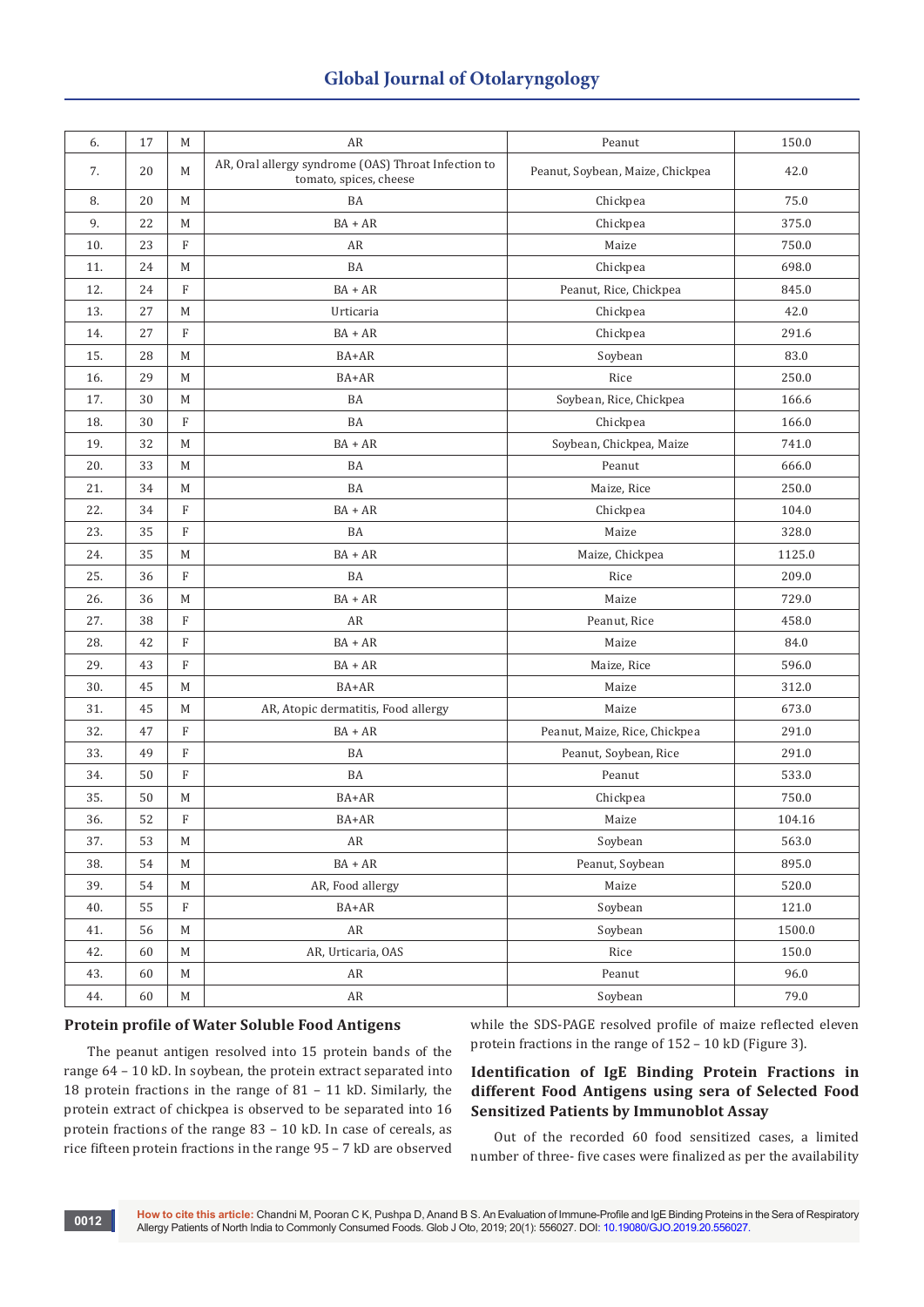# **Global Journal of Otolaryngology**

| 6.  | 17 | M                         | AR                                                                            | Peanut                           | 150.0  |
|-----|----|---------------------------|-------------------------------------------------------------------------------|----------------------------------|--------|
| 7.  | 20 | M                         | AR, Oral allergy syndrome (OAS) Throat Infection to<br>tomato, spices, cheese | Peanut, Soybean, Maize, Chickpea | 42.0   |
| 8.  | 20 | M                         | BA                                                                            | Chickpea                         | 75.0   |
| 9.  | 22 | M                         | $BA + AR$                                                                     | Chickpea                         | 375.0  |
| 10. | 23 | $\rm F$                   | AR                                                                            | Maize                            | 750.0  |
| 11. | 24 | M                         | BA                                                                            | Chickpea                         | 698.0  |
| 12. | 24 | $\rm F$                   | $BA + AR$                                                                     | Peanut, Rice, Chickpea           | 845.0  |
| 13. | 27 | M                         | Urticaria                                                                     | Chickpea                         | 42.0   |
| 14. | 27 | $\rm F$                   | $BA + AR$                                                                     | Chickpea                         | 291.6  |
| 15. | 28 | M                         | BA+AR                                                                         | Soybean                          | 83.0   |
| 16. | 29 | M                         | BA+AR                                                                         | Rice                             | 250.0  |
| 17. | 30 | M                         | BA                                                                            | Soybean, Rice, Chickpea          | 166.6  |
| 18. | 30 | $\mathbf F$               | BA                                                                            | Chickpea                         | 166.0  |
| 19. | 32 | M                         | $BA + AR$                                                                     | Soybean, Chickpea, Maize         | 741.0  |
| 20. | 33 | M                         | BA                                                                            | Peanut                           | 666.0  |
| 21. | 34 | M                         | BA                                                                            | Maize, Rice                      | 250.0  |
| 22. | 34 | F                         | $BA + AR$                                                                     | Chickpea                         | 104.0  |
| 23. | 35 | $\rm F$                   | BA                                                                            | Maize                            | 328.0  |
| 24. | 35 | M                         | $BA + AR$                                                                     | Maize, Chickpea                  | 1125.0 |
| 25. | 36 | $\rm F$                   | BA                                                                            | Rice                             | 209.0  |
| 26. | 36 | M                         | $BA + AR$                                                                     | Maize                            | 729.0  |
| 27. | 38 | $\rm F$                   | AR                                                                            | Peanut, Rice                     | 458.0  |
| 28. | 42 | $\boldsymbol{\mathrm{F}}$ | $BA + AR$                                                                     | Maize                            | 84.0   |
| 29. | 43 | $\mathbf F$               | $BA + AR$                                                                     | Maize, Rice                      | 596.0  |
| 30. | 45 | M                         | BA+AR                                                                         | Maize                            | 312.0  |
| 31. | 45 | M                         | AR, Atopic dermatitis, Food allergy                                           | Maize                            | 673.0  |
| 32. | 47 | $\boldsymbol{\mathrm{F}}$ | $BA + AR$                                                                     | Peanut, Maize, Rice, Chickpea    | 291.0  |
| 33. | 49 | $\rm F$                   | BA                                                                            | Peanut, Soybean, Rice            | 291.0  |
| 34. | 50 | $\rm F$                   | BA                                                                            | Peanut                           | 533.0  |
| 35. | 50 | M                         | BA+AR                                                                         | Chickpea                         | 750.0  |
| 36. | 52 | $\boldsymbol{\mathrm{F}}$ | BA+AR                                                                         | Maize                            | 104.16 |
| 37. | 53 | M                         | AR                                                                            | Soybean                          | 563.0  |
| 38. | 54 | $\mathbf M$               | $BA+AR$                                                                       | Peanut, Soybean                  | 895.0  |
| 39. | 54 | M                         | AR, Food allergy                                                              | Maize                            | 520.0  |
| 40. | 55 | $\boldsymbol{\mathrm{F}}$ | BA+AR                                                                         | Soybean                          | 121.0  |
| 41. | 56 | $\mathbf M$               | ${\sf AR}$                                                                    | Soybean                          | 1500.0 |
| 42. | 60 | $\mathbf M$               | AR, Urticaria, OAS                                                            | Rice                             | 150.0  |
| 43. | 60 | $\mathbf M$               | AR                                                                            | Peanut                           | 96.0   |
| 44. | 60 | $\mathbf M$               | AR                                                                            | Soybean                          | 79.0   |

# **Protein profile of Water Soluble Food Antigens**

The peanut antigen resolved into 15 protein bands of the range 64 – 10 kD. In soybean, the protein extract separated into 18 protein fractions in the range of 81 – 11 kD. Similarly, the protein extract of chickpea is observed to be separated into 16 protein fractions of the range 83 – 10 kD. In case of cereals, as rice fifteen protein fractions in the range 95 – 7 kD are observed

while the SDS-PAGE resolved profile of maize reflected eleven protein fractions in the range of 152 – 10 kD (Figure 3).

# **Identification of IgE Binding Protein Fractions in different Food Antigens using sera of Selected Food Sensitized Patients by Immunoblot Assay**

Out of the recorded 60 food sensitized cases, a limited number of three- five cases were finalized as per the availability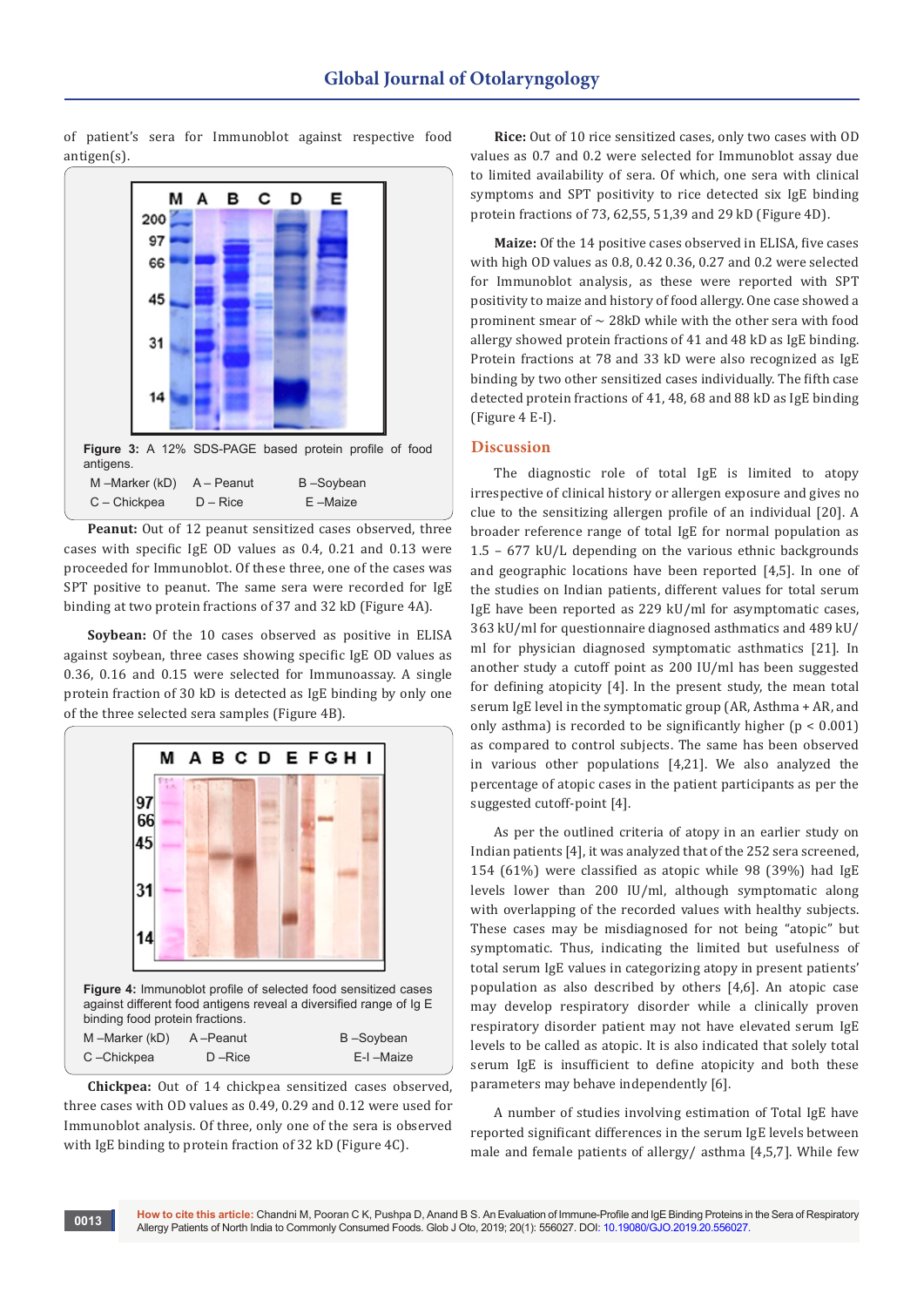of patient's sera for Immunoblot against respective food antigen(s).



**Peanut:** Out of 12 peanut sensitized cases observed, three cases with specific IgE OD values as 0.4, 0.21 and 0.13 were proceeded for Immunoblot. Of these three, one of the cases was SPT positive to peanut. The same sera were recorded for IgE binding at two protein fractions of 37 and 32 kD (Figure 4A).

**Soybean:** Of the 10 cases observed as positive in ELISA against soybean, three cases showing specific IgE OD values as 0.36, 0.16 and 0.15 were selected for Immunoassay. A single protein fraction of 30 kD is detected as IgE binding by only one of the three selected sera samples (Figure 4B).



**Chickpea:** Out of 14 chickpea sensitized cases observed, three cases with OD values as 0.49, 0.29 and 0.12 were used for Immunoblot analysis. Of three, only one of the sera is observed with IgE binding to protein fraction of 32 kD (Figure 4C).

**Rice:** Out of 10 rice sensitized cases, only two cases with OD values as 0.7 and 0.2 were selected for Immunoblot assay due to limited availability of sera. Of which, one sera with clinical symptoms and SPT positivity to rice detected six IgE binding protein fractions of 73, 62,55, 51,39 and 29 kD (Figure 4D).

**Maize:** Of the 14 positive cases observed in ELISA, five cases with high OD values as 0.8, 0.42 0.36, 0.27 and 0.2 were selected for Immunoblot analysis, as these were reported with SPT positivity to maize and history of food allergy. One case showed a prominent smear of  $\sim$  28kD while with the other sera with food allergy showed protein fractions of 41 and 48 kD as IgE binding. Protein fractions at 78 and 33 kD were also recognized as IgE binding by two other sensitized cases individually. The fifth case detected protein fractions of 41, 48, 68 and 88 kD as IgE binding (Figure 4 E-I).

## **Discussion**

The diagnostic role of total IgE is limited to atopy irrespective of clinical history or allergen exposure and gives no clue to the sensitizing allergen profile of an individual [20]. A broader reference range of total IgE for normal population as 1.5 – 677 kU/L depending on the various ethnic backgrounds and geographic locations have been reported [4,5]. In one of the studies on Indian patients, different values for total serum IgE have been reported as 229 kU/ml for asymptomatic cases, 363 kU/ml for questionnaire diagnosed asthmatics and 489 kU/ ml for physician diagnosed symptomatic asthmatics [21]. In another study a cutoff point as 200 IU/ml has been suggested for defining atopicity [4]. In the present study, the mean total serum IgE level in the symptomatic group (AR, Asthma + AR, and only asthma) is recorded to be significantly higher  $(p < 0.001)$ as compared to control subjects. The same has been observed in various other populations [4,21]. We also analyzed the percentage of atopic cases in the patient participants as per the suggested cutoff-point [4].

As per the outlined criteria of atopy in an earlier study on Indian patients [4], it was analyzed that of the 252 sera screened, 154 (61%) were classified as atopic while 98 (39%) had IgE levels lower than 200 IU/ml, although symptomatic along with overlapping of the recorded values with healthy subjects. These cases may be misdiagnosed for not being "atopic" but symptomatic. Thus, indicating the limited but usefulness of total serum IgE values in categorizing atopy in present patients' population as also described by others [4,6]. An atopic case may develop respiratory disorder while a clinically proven respiratory disorder patient may not have elevated serum IgE levels to be called as atopic. It is also indicated that solely total serum IgE is insufficient to define atopicity and both these parameters may behave independently [6].

A number of studies involving estimation of Total IgE have reported significant differences in the serum IgE levels between male and female patients of allergy/ asthma [4,5,7]. While few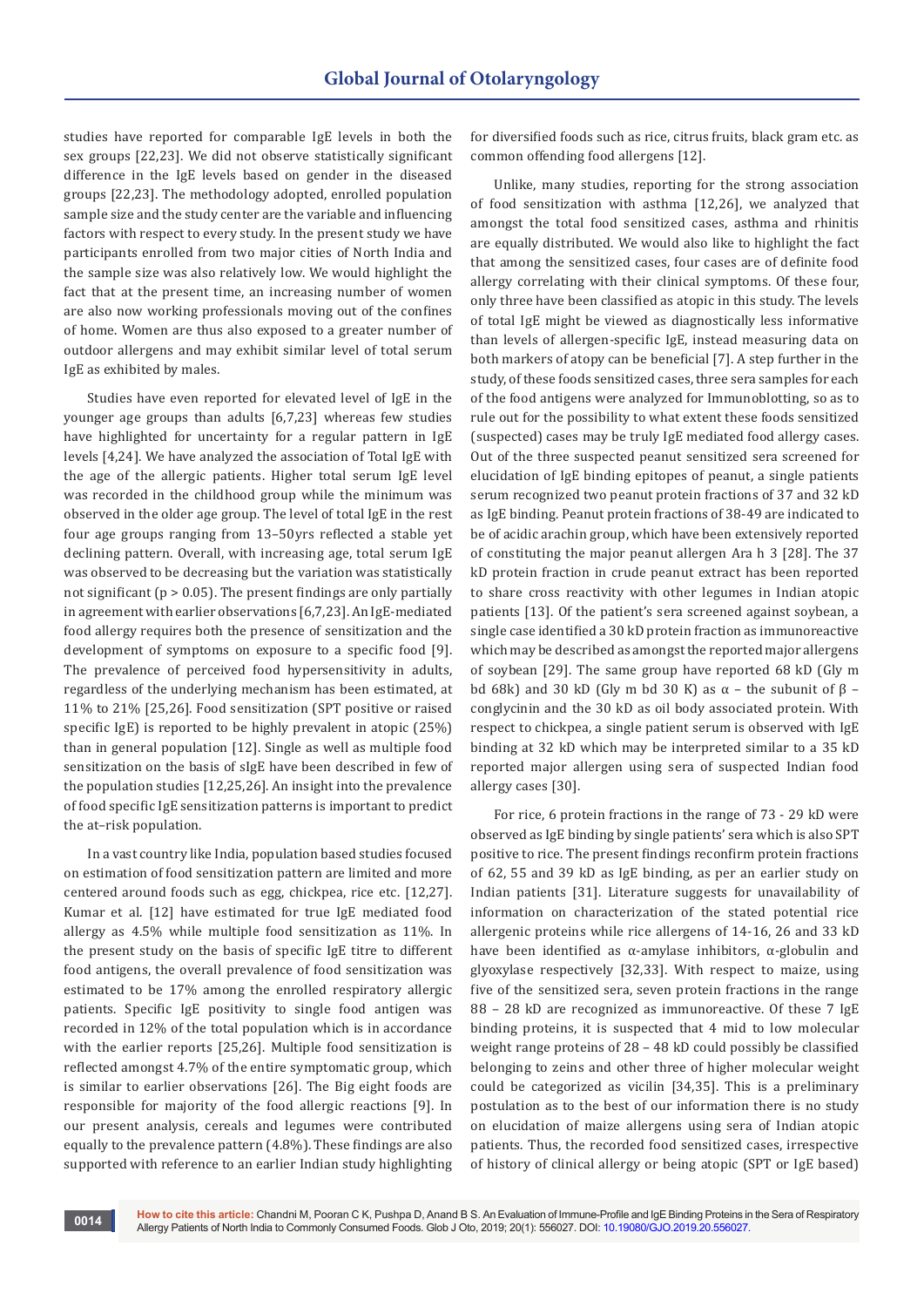studies have reported for comparable IgE levels in both the sex groups [22,23]. We did not observe statistically significant difference in the IgE levels based on gender in the diseased groups [22,23]. The methodology adopted, enrolled population sample size and the study center are the variable and influencing factors with respect to every study. In the present study we have participants enrolled from two major cities of North India and the sample size was also relatively low. We would highlight the fact that at the present time, an increasing number of women are also now working professionals moving out of the confines of home. Women are thus also exposed to a greater number of outdoor allergens and may exhibit similar level of total serum IgE as exhibited by males.

Studies have even reported for elevated level of IgE in the younger age groups than adults [6,7,23] whereas few studies have highlighted for uncertainty for a regular pattern in IgE levels [4,24]. We have analyzed the association of Total IgE with the age of the allergic patients. Higher total serum IgE level was recorded in the childhood group while the minimum was observed in the older age group. The level of total IgE in the rest four age groups ranging from 13–50yrs reflected a stable yet declining pattern. Overall, with increasing age, total serum IgE was observed to be decreasing but the variation was statistically not significant ( $p > 0.05$ ). The present findings are only partially in agreement with earlier observations [6,7,23]. An IgE-mediated food allergy requires both the presence of sensitization and the development of symptoms on exposure to a specific food [9]. The prevalence of perceived food hypersensitivity in adults, regardless of the underlying mechanism has been estimated, at 11% to 21% [25,26]. Food sensitization (SPT positive or raised specific IgE) is reported to be highly prevalent in atopic (25%) than in general population [12]. Single as well as multiple food sensitization on the basis of sIgE have been described in few of the population studies [12,25,26]. An insight into the prevalence of food specific IgE sensitization patterns is important to predict the at–risk population.

In a vast country like India, population based studies focused on estimation of food sensitization pattern are limited and more centered around foods such as egg, chickpea, rice etc. [12,27]. Kumar et al. [12] have estimated for true IgE mediated food allergy as 4.5% while multiple food sensitization as 11%. In the present study on the basis of specific IgE titre to different food antigens, the overall prevalence of food sensitization was estimated to be 17% among the enrolled respiratory allergic patients. Specific IgE positivity to single food antigen was recorded in 12% of the total population which is in accordance with the earlier reports [25,26]. Multiple food sensitization is reflected amongst 4.7% of the entire symptomatic group, which is similar to earlier observations [26]. The Big eight foods are responsible for majority of the food allergic reactions [9]. In our present analysis, cereals and legumes were contributed equally to the prevalence pattern (4.8%). These findings are also supported with reference to an earlier Indian study highlighting for diversified foods such as rice, citrus fruits, black gram etc. as common offending food allergens [12].

Unlike, many studies, reporting for the strong association of food sensitization with asthma [12,26], we analyzed that amongst the total food sensitized cases, asthma and rhinitis are equally distributed. We would also like to highlight the fact that among the sensitized cases, four cases are of definite food allergy correlating with their clinical symptoms. Of these four, only three have been classified as atopic in this study. The levels of total IgE might be viewed as diagnostically less informative than levels of allergen-specific IgE, instead measuring data on both markers of atopy can be beneficial [7]. A step further in the study, of these foods sensitized cases, three sera samples for each of the food antigens were analyzed for Immunoblotting, so as to rule out for the possibility to what extent these foods sensitized (suspected) cases may be truly IgE mediated food allergy cases. Out of the three suspected peanut sensitized sera screened for elucidation of IgE binding epitopes of peanut, a single patients serum recognized two peanut protein fractions of 37 and 32 kD as IgE binding. Peanut protein fractions of 38-49 are indicated to be of acidic arachin group, which have been extensively reported of constituting the major peanut allergen Ara h 3 [28]. The 37 kD protein fraction in crude peanut extract has been reported to share cross reactivity with other legumes in Indian atopic patients [13]. Of the patient's sera screened against soybean, a single case identified a 30 kD protein fraction as immunoreactive which may be described as amongst the reported major allergens of soybean [29]. The same group have reported 68 kD (Gly m bd 68k) and 30 kD (Gly m bd 30 K) as  $\alpha$  – the subunit of β – conglycinin and the 30 kD as oil body associated protein. With respect to chickpea, a single patient serum is observed with IgE binding at 32 kD which may be interpreted similar to a 35 kD reported major allergen using sera of suspected Indian food allergy cases [30].

For rice, 6 protein fractions in the range of 73 - 29 kD were observed as IgE binding by single patients' sera which is also SPT positive to rice. The present findings reconfirm protein fractions of 62, 55 and 39 kD as IgE binding, as per an earlier study on Indian patients [31]. Literature suggests for unavailability of information on characterization of the stated potential rice allergenic proteins while rice allergens of 14-16, 26 and 33 kD have been identified as  $α$ -amylase inhibitors,  $α$ -globulin and glyoxylase respectively [32,33]. With respect to maize, using five of the sensitized sera, seven protein fractions in the range 88 – 28 kD are recognized as immunoreactive. Of these 7 IgE binding proteins, it is suspected that 4 mid to low molecular weight range proteins of 28 – 48 kD could possibly be classified belonging to zeins and other three of higher molecular weight could be categorized as vicilin [34,35]. This is a preliminary postulation as to the best of our information there is no study on elucidation of maize allergens using sera of Indian atopic patients. Thus, the recorded food sensitized cases, irrespective of history of clinical allergy or being atopic (SPT or IgE based)

**0014**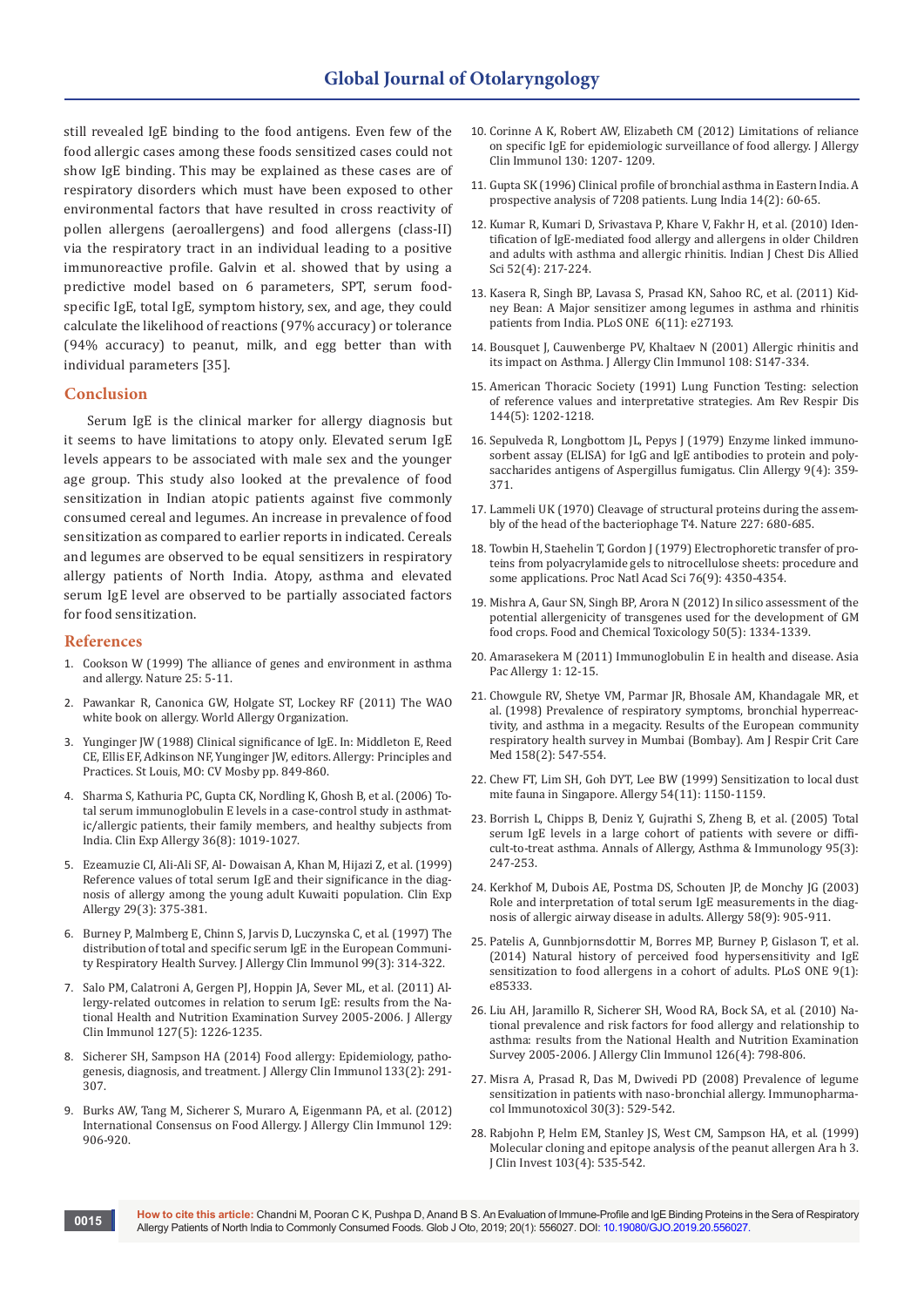still revealed IgE binding to the food antigens. Even few of the food allergic cases among these foods sensitized cases could not show IgE binding. This may be explained as these cases are of respiratory disorders which must have been exposed to other environmental factors that have resulted in cross reactivity of pollen allergens (aeroallergens) and food allergens (class-II) via the respiratory tract in an individual leading to a positive immunoreactive profile. Galvin et al. showed that by using a predictive model based on 6 parameters, SPT, serum foodspecific IgE, total IgE, symptom history, sex, and age, they could calculate the likelihood of reactions (97% accuracy) or tolerance (94% accuracy) to peanut, milk, and egg better than with individual parameters [35].

#### **Conclusion**

Serum IgE is the clinical marker for allergy diagnosis but it seems to have limitations to atopy only. Elevated serum IgE levels appears to be associated with male sex and the younger age group. This study also looked at the prevalence of food sensitization in Indian atopic patients against five commonly consumed cereal and legumes. An increase in prevalence of food sensitization as compared to earlier reports in indicated. Cereals and legumes are observed to be equal sensitizers in respiratory allergy patients of North India. Atopy, asthma and elevated serum IgE level are observed to be partially associated factors for food sensitization.

## **References**

- 1. [Cookson W \(1999\) The alliance of genes and environment in asthma](https://www.ncbi.nlm.nih.gov/pubmed/10586889)  [and allergy. Nature 25: 5-11.](https://www.ncbi.nlm.nih.gov/pubmed/10586889)
- 2. Pawankar R, Canonica GW, Holgate ST, Lockey RF (2011) The WAO white book on allergy. World Allergy Organization.
- 3. Yunginger JW (1988) Clinical significance of IgE. In: Middleton E, Reed CE, Ellis EF, Adkinson NF, Yunginger JW, editors. Allergy: Principles and Practices. St Louis, MO: CV Mosby pp. 849-860.
- 4. [Sharma S, Kathuria PC, Gupta CK, Nordling K, Ghosh B, et al. \(2006\) To](https://www.ncbi.nlm.nih.gov/pubmed/16911358)[tal serum immunoglobulin E levels in a case-control study in asthmat](https://www.ncbi.nlm.nih.gov/pubmed/16911358)[ic/allergic patients, their family members, and healthy subjects from](https://www.ncbi.nlm.nih.gov/pubmed/16911358)  [India. Clin Exp Allergy 36\(8\): 1019-1027.](https://www.ncbi.nlm.nih.gov/pubmed/16911358)
- 5. [Ezeamuzie CI, Ali-Ali SF, Al- Dowaisan A, Khan M, Hijazi Z, et al. \(1999\)](https://www.ncbi.nlm.nih.gov/pubmed/10202346)  [Reference values of total serum IgE and their significance in the diag](https://www.ncbi.nlm.nih.gov/pubmed/10202346)[nosis of allergy among the young adult Kuwaiti population. Clin Exp](https://www.ncbi.nlm.nih.gov/pubmed/10202346)  [Allergy 29\(3\): 375-381.](https://www.ncbi.nlm.nih.gov/pubmed/10202346)
- 6. [Burney P, Malmberg E, Chinn S, Jarvis D, Luczynska C, et al. \(1997\) The](https://www.jacionline.org/article/S0091-6749(97)70048-4/abstract)  [distribution of total and specific serum IgE in the European Communi](https://www.jacionline.org/article/S0091-6749(97)70048-4/abstract)[ty Respiratory Health Survey. J Allergy Clin Immunol 99\(3\): 314-322.](https://www.jacionline.org/article/S0091-6749(97)70048-4/abstract)
- 7. [Salo PM, Calatroni A, Gergen PJ, Hoppin JA, Sever ML, et al. \(2011\) Al](https://www.ncbi.nlm.nih.gov/pubmed/21320720)[lergy-related outcomes in relation to serum IgE: results from the Na](https://www.ncbi.nlm.nih.gov/pubmed/21320720)[tional Health and Nutrition Examination Survey 2005-2006. J Allergy](https://www.ncbi.nlm.nih.gov/pubmed/21320720)  [Clin Immunol 127\(5\): 1226-1235.](https://www.ncbi.nlm.nih.gov/pubmed/21320720)
- 8. [Sicherer SH, Sampson HA \(2014\) Food allergy: Epidemiology, patho](https://www.ncbi.nlm.nih.gov/pubmed/24388012)[genesis, diagnosis, and treatment. J Allergy Clin Immunol 133\(2\): 291-](https://www.ncbi.nlm.nih.gov/pubmed/24388012) [307.](https://www.ncbi.nlm.nih.gov/pubmed/24388012)
- 9. [Burks AW, Tang M, Sicherer S, Muraro A, Eigenmann PA, et al. \(2012\)](https://www.jacionline.org/article/S0091-6749(12)00254-0/pdf)  [International Consensus on Food Allergy. J Allergy Clin Immunol 129:](https://www.jacionline.org/article/S0091-6749(12)00254-0/pdf)  [906-920.](https://www.jacionline.org/article/S0091-6749(12)00254-0/pdf)
- 10. Corinne A K, Robert AW, Elizabeth CM (2012) Limitations of reliance on specific IgE for epidemiologic surveillance of food allergy. J Allergy Clin Immunol 130: 1207- 1209.
- 11. [Gupta SK \(1996\) Clinical profile of bronchial asthma in Eastern India. A](http://medind.nic.in/imvw/imvw11407.html)  [prospective analysis of 7208 patients. Lung India 14\(2\): 60-65.](http://medind.nic.in/imvw/imvw11407.html)
- 12. [Kumar R, Kumari D, Srivastava P, Khare V, Fakhr H, et al. \(2010\) Iden](https://www.ncbi.nlm.nih.gov/pubmed/21302599)[tification of IgE-mediated food allergy and allergens in older Children](https://www.ncbi.nlm.nih.gov/pubmed/21302599)  [and adults with asthma and allergic rhinitis. Indian J Chest Dis Allied](https://www.ncbi.nlm.nih.gov/pubmed/21302599)  [Sci 52\(4\): 217-224.](https://www.ncbi.nlm.nih.gov/pubmed/21302599)
- 13. [Kasera R, Singh BP, Lavasa S, Prasad KN, Sahoo RC, et al. \(2011\) Kid](https://journals.plos.org/plosone/article?id=10.1371/journal.pone.0027193)[ney Bean: A Major sensitizer among legumes in asthma and rhinitis](https://journals.plos.org/plosone/article?id=10.1371/journal.pone.0027193)  [patients from India. PLoS ONE 6\(11\): e27193.](https://journals.plos.org/plosone/article?id=10.1371/journal.pone.0027193)
- 14. [Bousquet J, Cauwenberge PV, Khaltaev N \(2001\) Allergic rhinitis and](https://www.ncbi.nlm.nih.gov/pubmed/11707753)  [its impact on Asthma. J Allergy Clin Immunol 108: S147-334.](https://www.ncbi.nlm.nih.gov/pubmed/11707753)
- 15. [American Thoracic Society \(1991\) Lung Function Testing: selection](https://www.ncbi.nlm.nih.gov/pubmed/1952453)  [of reference values and interpretative strategies. Am Rev Respir Dis](https://www.ncbi.nlm.nih.gov/pubmed/1952453)  [144\(5\): 1202-1218.](https://www.ncbi.nlm.nih.gov/pubmed/1952453)
- 16. [Sepulveda R, Longbottom JL, Pepys J \(1979\) Enzyme linked immuno](https://www.ncbi.nlm.nih.gov/pubmed/113131)[sorbent assay \(ELISA\) for IgG and IgE antibodies to protein and poly](https://www.ncbi.nlm.nih.gov/pubmed/113131)[saccharides antigens of Aspergillus fumigatus. Clin Allergy 9\(4\): 359-](https://www.ncbi.nlm.nih.gov/pubmed/113131) [371.](https://www.ncbi.nlm.nih.gov/pubmed/113131)
- 17. [Lammeli UK \(1970\) Cleavage of structural proteins during the assem](https://www.nature.com/articles/227680a0)[bly of the head of the bacteriophage T4. Nature 227: 680-685.](https://www.nature.com/articles/227680a0)
- 18. [Towbin H, Staehelin T, Gordon J \(1979\) Electrophoretic transfer of pro](https://www.ncbi.nlm.nih.gov/pubmed/388439)[teins from polyacrylamide gels to nitrocellulose sheets: procedure and](https://www.ncbi.nlm.nih.gov/pubmed/388439)  [some applications. Proc Natl Acad Sci 76\(9\): 4350-4354.](https://www.ncbi.nlm.nih.gov/pubmed/388439)
- 19. [Mishra A, Gaur SN, Singh BP, Arora N \(2012\) In silico assessment of the](https://www.ncbi.nlm.nih.gov/pubmed/22361217)  [potential allergenicity of transgenes used for the development of GM](https://www.ncbi.nlm.nih.gov/pubmed/22361217)  [food crops. Food and Chemical Toxicology 50\(5\): 1334-1339.](https://www.ncbi.nlm.nih.gov/pubmed/22361217)
- 20. Amarasekera M (2011) Immunoglobulin E in health and disease. Asia Pac Allergy 1: 12-15.
- 21. [Chowgule RV, Shetye VM, Parmar JR, Bhosale AM, Khandagale MR, et](https://www.ncbi.nlm.nih.gov/pubmed/9700134)  [al. \(1998\) Prevalence of respiratory symptoms, bronchial hyperreac](https://www.ncbi.nlm.nih.gov/pubmed/9700134)[tivity, and asthma in a megacity. Results of the European community](https://www.ncbi.nlm.nih.gov/pubmed/9700134)  [respiratory health survey in Mumbai \(Bombay\). Am J Respir Crit Care](https://www.ncbi.nlm.nih.gov/pubmed/9700134)  [Med 158\(2\): 547-554.](https://www.ncbi.nlm.nih.gov/pubmed/9700134)
- 22. [Chew FT, Lim SH, Goh DYT, Lee BW \(1999\) Sensitization to local dust](https://www.ncbi.nlm.nih.gov/pubmed/10604550)  [mite fauna in Singapore. Allergy 54\(11\): 1150-1159.](https://www.ncbi.nlm.nih.gov/pubmed/10604550)
- 23. [Borrish L, Chipps B, Deniz Y, Gujrathi S, Zheng B, et al. \(2005\) Total](https://www.ncbi.nlm.nih.gov/pubmed/16200815)  [serum IgE levels in a large cohort of patients with severe or diffi](https://www.ncbi.nlm.nih.gov/pubmed/16200815)[cult-to-treat asthma. Annals of Allergy, Asthma & Immunology 95\(3\):](https://www.ncbi.nlm.nih.gov/pubmed/16200815)  [247-253.](https://www.ncbi.nlm.nih.gov/pubmed/16200815)
- 24. [Kerkhof M, Dubois AE, Postma DS, Schouten JP, de Monchy JG \(2003\)](https://www.ncbi.nlm.nih.gov/pubmed/12911420)  [Role and interpretation of total serum IgE measurements in the diag](https://www.ncbi.nlm.nih.gov/pubmed/12911420)[nosis of allergic airway disease in adults. Allergy 58\(9\): 905-911.](https://www.ncbi.nlm.nih.gov/pubmed/12911420)
- 25. Patelis A, Gunnbjornsdottir M, Borres MP, Burney P, Gislason T, et al. (2014) Natural history of perceived food hypersensitivity and IgE sensitization to food allergens in a cohort of adults. PLoS ONE 9(1): e85333.
- 26. [Liu AH, Jaramillo R, Sicherer SH, Wood RA, Bock SA, et al. \(2010\) Na](https://www.ncbi.nlm.nih.gov/pubmed/20920770)[tional prevalence and risk factors for food allergy and relationship to](https://www.ncbi.nlm.nih.gov/pubmed/20920770)  [asthma: results from the National Health and Nutrition Examination](https://www.ncbi.nlm.nih.gov/pubmed/20920770)  [Survey 2005-2006. J Allergy Clin Immunol 126\(4\): 798-806.](https://www.ncbi.nlm.nih.gov/pubmed/20920770)
- 27. [Misra A, Prasad R, Das M, Dwivedi PD \(2008\) Prevalence of legume](https://www.ncbi.nlm.nih.gov/pubmed/18618316)  [sensitization in patients with naso-bronchial allergy. Immunopharma](https://www.ncbi.nlm.nih.gov/pubmed/18618316)[col Immunotoxicol 30\(3\): 529-542.](https://www.ncbi.nlm.nih.gov/pubmed/18618316)
- 28. [Rabjohn P, Helm EM, Stanley JS, West CM, Sampson HA, et al. \(1999\)](https://www.ncbi.nlm.nih.gov/pubmed/10021462)  [Molecular cloning and epitope analysis of the peanut allergen Ara h 3.](https://www.ncbi.nlm.nih.gov/pubmed/10021462)  [J Clin Invest 103\(4\): 535-542.](https://www.ncbi.nlm.nih.gov/pubmed/10021462)